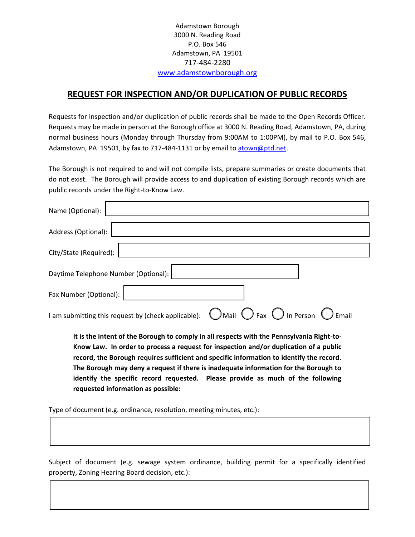Adamstown Borough 3000 N. Reading Road P.O. Box 546 Adamstown, PA 19501 717-484-2280 www.adamstownborough.org

## **REQUEST FOR INSPECTION AND/OR DUPLICATION OF PUBLIC RECORDS**

Requests for inspection and/or duplication of public records shall be made to the Open Records Officer. Requests may be made in person at the Borough office at 3000 N. Reading Road, Adamstown, PA, during normal business hours (Monday through Thursday from 9:00AM to 1:00PM), by mail to P.O. Box 546, Adamstown, PA 19501, by fax to 717-484-1131 or by email to atown@ptd.net.

The Borough is not required to and will not compile lists, prepare summaries or create documents that do not exist. The Borough will provide access to and duplication of existing Borough records which are public records under the Right-to-Know Law.

| Name (Optional):                                                                                                                                                                   |  |  |  |
|------------------------------------------------------------------------------------------------------------------------------------------------------------------------------------|--|--|--|
| Address (Optional):                                                                                                                                                                |  |  |  |
| City/State (Required):                                                                                                                                                             |  |  |  |
| Daytime Telephone Number (Optional):                                                                                                                                               |  |  |  |
| Fax Number (Optional):                                                                                                                                                             |  |  |  |
| $\bigcirc$ Mail $\bigcirc$ Fax $\bigcirc$ In Person $\bigcirc$ Email<br>I am submitting this request by (check applicable):                                                        |  |  |  |
| It is the intent of the Borough to comply in all respects with the Pennsylvania Right-to-<br>Know Law. In order to process a request for inspection and/or duplication of a public |  |  |  |

**record, the Borough requires sufficient and specific information to identify the record. The Borough may deny a request if there is inadequate information for the Borough to identify the specific record requested. Please provide as much of the following requested information as possible:** 

Type of document (e.g. ordinance, resolution, meeting minutes, etc.):

 $\overline{\phantom{a}}$ 

 $\overline{\phantom{a}}$ 

Subject of document (e.g. sewage system ordinance, building permit for a specifically identified property, Zoning Hearing Board decision, etc.):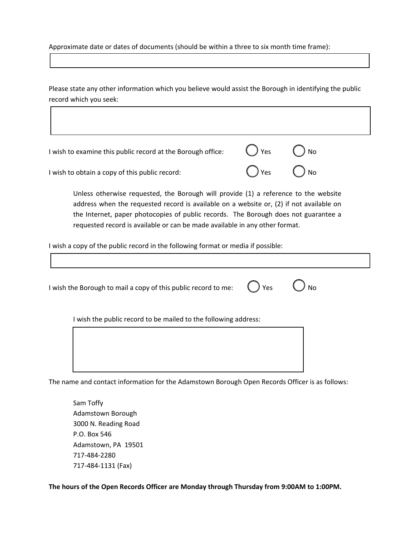Approximate date or dates of documents (should be within a three to six month time frame):

Please state any other information which you believe would assist the Borough in identifying the public record which you seek:

| I wish to examine this public record at the Borough office: | $\bigcirc$ Yes $\bigcirc$ No |  |
|-------------------------------------------------------------|------------------------------|--|
| I wish to obtain a copy of this public record:              | $\bigcap$ Yes $\bigcap$ No   |  |

Unless otherwise requested, the Borough will provide (1) a reference to the website address when the requested record is available on a website or, (2) if not available on the Internet, paper photocopies of public records. The Borough does not guarantee a requested record is available or can be made available in any other format.

I wish a copy of the public record in the following format or media if possible:

I wish the Borough to mail a copy of this public record to me:  $\bigcirc$  Yes  $\bigcirc$  No I wish the public record to be mailed to the following address:

The name and contact information for the Adamstown Borough Open Records Officer is as follows:

 Sam Toffy Adamstown Borough 3000 N. Reading Road P.O. Box 546 Adamstown, PA 19501 717-484-2280 717-484-1131 (Fax)

 $\overline{\phantom{a}}$ 

**The hours of the Open Records Officer are Monday through Thursday from 9:00AM to 1:00PM.**